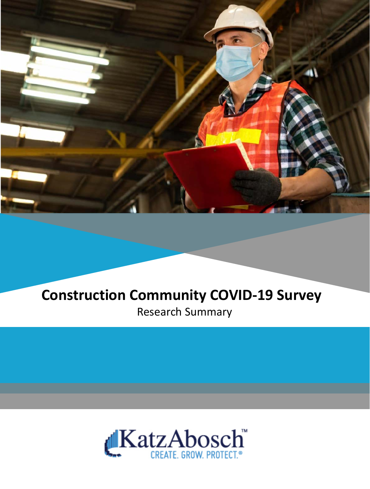

### **Construction Community COVID-19 Survey**  Research Summary

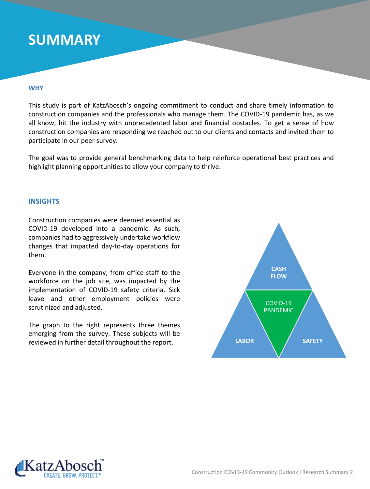### **SUMMARY**

#### **WHY**

This study is part of KatzAbosch's ongoing commitment to conduct and share timely information to construction companies and the professionals who manage them. The COVID-19 pandemic has, as we all know, hit the industry with unprecedented labor and financial obstacles. To get a sense of how construction companies are responding we reached out to our clients and contacts and invited them to participate in our peer survey.

The goal was to provide general benchmarking data to help reinforce operational best practices and highlight planning opportunities to allow your company to thrive.

#### **INSIGHTS**

Construction companies were deemed essential as COVID-19 developed into a pandemic. As such, companies had to aggressively undertake workflow changes that impacted day-to-day operations for them.

Everyone in the company, from office staff to the workforce on the job site, was impacted by the implementation of COVID-19 safety criteria. Sick leave and other employment policies were scrutinized and adjusted.

The graph to the right represents three themes emerging from the survey. These subjects will be reviewed in further detail throughout the report.



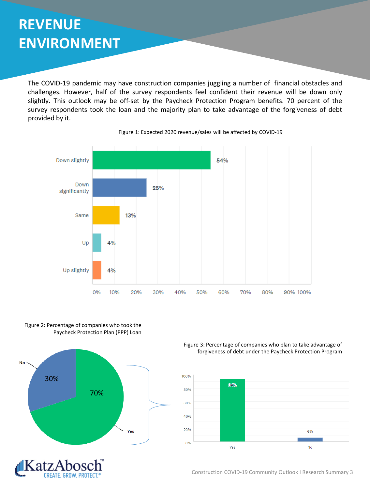## **REVENUE ENVIRONMENT**

The COVID-19 pandemic may have construction companies juggling a number of financial obstacles and challenges. However, half of the survey respondents feel confident their revenue will be down only slightly. This outlook may be off-set by the Paycheck Protection Program benefits. 70 percent of the survey respondents took the loan and the majority plan to take advantage of the forgiveness of debt provided by it.









Figure 3: Percentage of companies who plan to take advantage of forgiveness of debt under the Paycheck Protection Program



Construction COVID-19 Community Outlook I Research Summary 3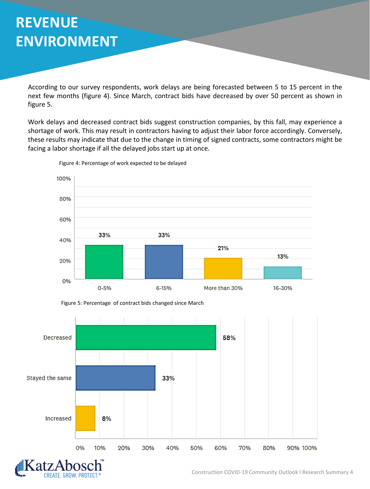# **REVENUE ENVIRONMENT**

According to our survey respondents, work delays are being forecasted between 5 to 15 percent in the next few months (figure 4). Since March, contract bids have decreased by over 50 percent as shown in figure 5.

Work delays and decreased contract bids suggest construction companies, by this fall, may experience a shortage of work. This may result in contractors having to adjust their labor force accordingly. Conversely, these results may indicate that due to the change in timing of signed contracts, some contractors might be facing a labor shortage if all the delayed jobs start up at once.



Figure 4: Percentage of work expected to be delayed





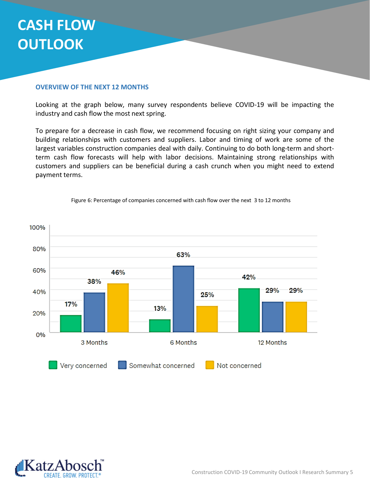## **CASH FLOW OUTLOOK**

### **OVERVIEW OF THE NEXT 12 MONTHS**

Looking at the graph below, many survey respondents believe COVID-19 will be impacting the industry and cash flow the most next spring.

To prepare for a decrease in cash flow, we recommend focusing on right sizing your company and building relationships with customers and suppliers. Labor and timing of work are some of the largest variables construction companies deal with daily. Continuing to do both long-term and shortterm cash flow forecasts will help with labor decisions. Maintaining strong relationships with customers and suppliers can be beneficial during a cash crunch when you might need to extend payment terms.



Figure 6: Percentage of companies concerned with cash flow over the next 3 to 12 months

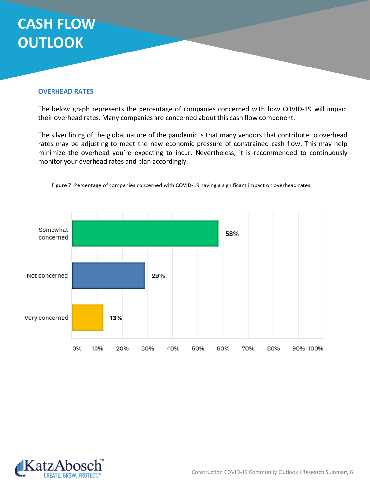# **CASH FLOW OUTLOOK**

### **OVERHEAD RATES**

The below graph represents the percentage of companies concerned with how COVID-19 will impact their overhead rates. Many companies are concerned about this cash flow component.

The silver lining of the global nature of the pandemic is that many vendors that contribute to overhead rates may be adjusting to meet the new economic pressure of constrained cash flow. This may help minimize the overhead you're expecting to incur. Nevertheless, it is recommended to continuously monitor your overhead rates and plan accordingly.



Figure 7: Percentage of companies concerned with COVID-19 having a significant impact on overhead rates

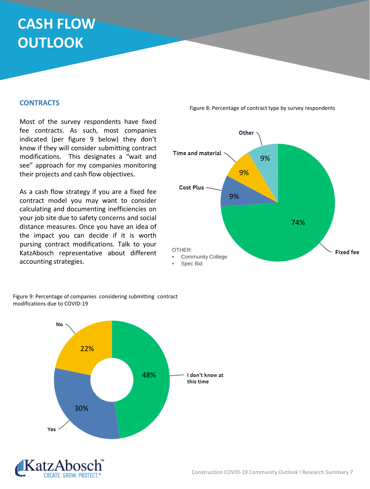# **CASH FLOW OUTLOOK**

### **CONTRACTS**

Most of the survey respondents have fixed fee contracts. As such, most companies indicated (per figure 9 below) they don't know if they will consider submitting contract modifications. This designates a "wait and see" approach for my companies monitoring their projects and cash flow objectives.

As a cash flow strategy if you are a fixed fee contract model you may want to consider calculating and documenting inefficiencies on your job site due to safety concerns and social distance measures. Once you have an idea of the impact you can decide if it is worth pursing contract modifications. Talk to your KatzAbosch representative about different accounting strategies.

Other Time and material 9% 9% Cost Plus -9% 74% OTHER: **Fixed fee** • Community College Spec Bid

Figure 8: Percentage of contract type by survey respondents



Figure 9: Percentage of companies considering submitting contract modifications due to COVID-19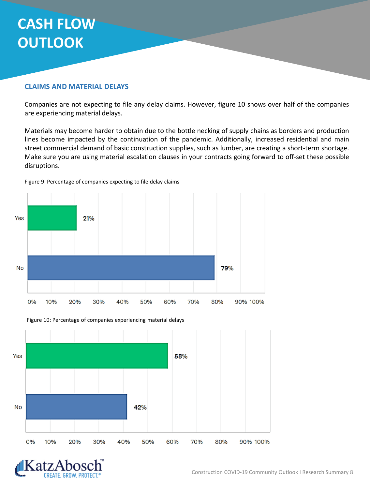# **CASH FLOW OUTLOOK**

### **CLAIMS AND MATERIAL DELAYS**

Companies are not expecting to file any delay claims. However, figure 10 shows over half of the companies are experiencing material delays.

Materials may become harder to obtain due to the bottle necking of supply chains as borders and production lines become impacted by the continuation of the pandemic. Additionally, increased residential and main street commercial demand of basic construction supplies, such as lumber, are creating a short-term shortage. Make sure you are using material escalation clauses in your contracts going forward to off-set these possible disruptions.



Figure 9: Percentage of companies expecting to file delay claims



Figure 10: Percentage of companies experiencing material delays

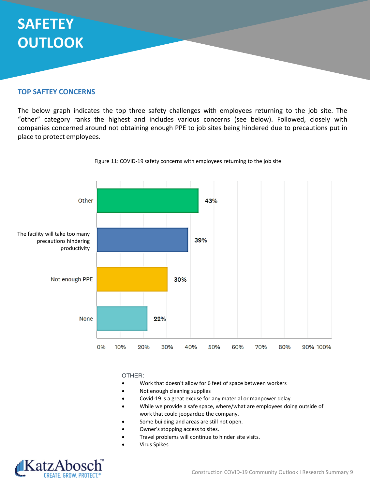# **SAFETEY OUTLOOK**

### **TOP SAFTEY CONCERNS**

The below graph indicates the top three safety challenges with employees returning to the job site. The "other" category ranks the highest and includes various concerns (see below). Followed, closely with companies concerned around not obtaining enough PPE to job sites being hindered due to precautions put in place to protect employees.



#### Figure 11: COVID-19 safety concerns with employees returning to the job site

#### OTHER:

- Work that doesn't allow for 6 feet of space between workers
- Not enough cleaning supplies
- Covid-19 is a great excuse for any material or manpower delay.
- While we provide a safe space, where/what are employees doing outside of work that could jeopardize the company.
- Some building and areas are still not open.
- Owner's stopping access to sites.
- Travel problems will continue to hinder site visits.
- Virus Spikes

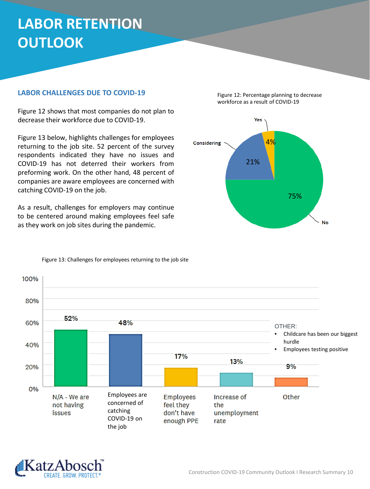# **LABOR RETENTION OUTLOOK**

### **LABOR CHALLENGES DUE TO COVID-19**

Figure 12 shows that most companies do not plan to decrease their workforce due to COVID-19.

Figure 13 below, highlights challenges for employees returning to the job site. 52 percent of the survey respondents indicated they have no issues and COVID-19 has not deterred their workers from preforming work. On the other hand, 48 percent of companies are aware employees are concerned with catching COVID-19 on the job.

As a result, challenges for employers may continue to be centered around making employees feel safe as they work on job sites during the pandemic.







Figure 13: Challenges for employees returning to the job site

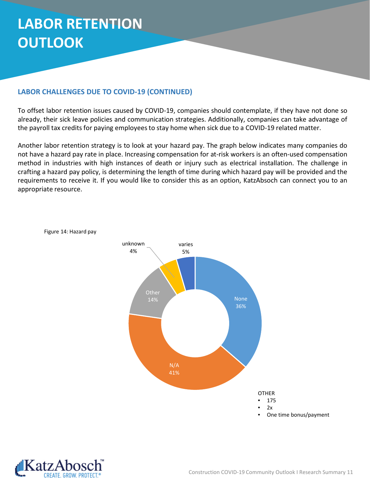# **LABOR RETENTION OUTLOOK**

### **LABOR CHALLENGES DUE TO COVID-19 (CONTINUED)**

To offset labor retention issues caused by COVID-19, companies should contemplate, if they have not done so already, their sick leave policies and communication strategies. Additionally, companies can take advantage of the payroll tax credits for paying employees to stay home when sick due to a COVID-19 related matter.

Another labor retention strategy is to look at your hazard pay. The graph below indicates many companies do not have a hazard pay rate in place. Increasing compensation for at-risk workers is an often-used compensation method in industries with high instances of death or injury such as electrical installation. The challenge in crafting a hazard pay policy, is determining the length of time during which hazard pay will be provided and the requirements to receive it. If you would like to consider this as an option, KatzAbsoch can connect you to an appropriate resource.



Figure 14: Hazard pay

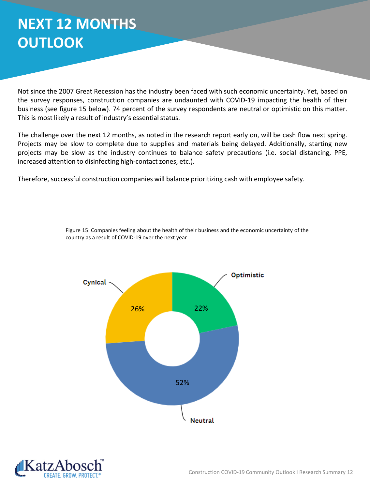## **NEXT 12 MONTHS OUTLOOK**

Not since the 2007 Great Recession has the industry been faced with such economic uncertainty. Yet, based on the survey responses, construction companies are undaunted with COVID-19 impacting the health of their business (see figure 15 below). 74 percent of the survey respondents are neutral or optimistic on this matter. This is most likely a result of industry's essential status.

The challenge over the next 12 months, as noted in the research report early on, will be cash flow next spring. Projects may be slow to complete due to supplies and materials being delayed. Additionally, starting new projects may be slow as the industry continues to balance safety precautions (i.e. social distancing, PPE, increased attention to disinfecting high-contact zones, etc.).

Therefore, successful construction companies will balance prioritizing cash with employee safety.



Figure 15: Companies feeling about the health of their business and the economic uncertainty of the country as a result of COVID-19 over the next year